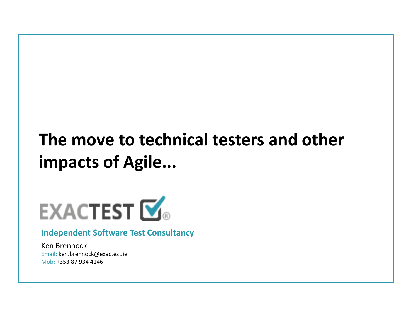### **The move to technical testers and other impacts of Agile...**



#### **Independent Software Test Consultancy**

Ken Brennock Email: ken.brennock@exactest.ie Mob: +353 87 934 4146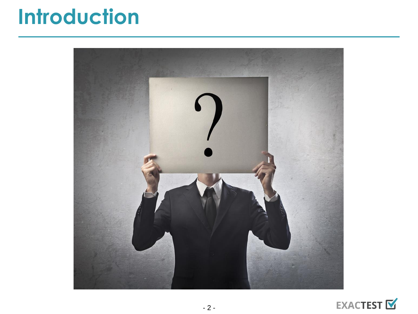### **Introduction**



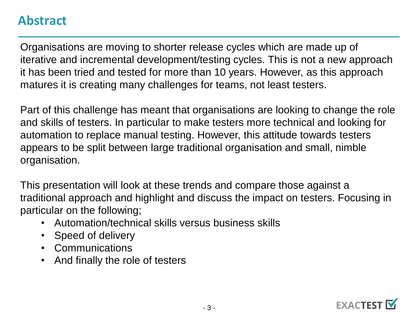#### **Abstract**

Organisations are moving to shorter release cycles which are made up of iterative and incremental development/testing cycles. This is not a new approach it has been tried and tested for more than 10 years. However, as this approach matures it is creating many challenges for teams, not least testers.

Part of this challenge has meant that organisations are looking to change the role and skills of testers. In particular to make testers more technical and looking for automation to replace manual testing. However, this attitude towards testers appears to be split between large traditional organisation and small, nimble organisation.

This presentation will look at these trends and compare those against a traditional approach and highlight and discuss the impact on testers. Focusing in particular on the following;

- Automation/technical skills versus business skills
- Speed of delivery
- Communications
- And finally the role of testers

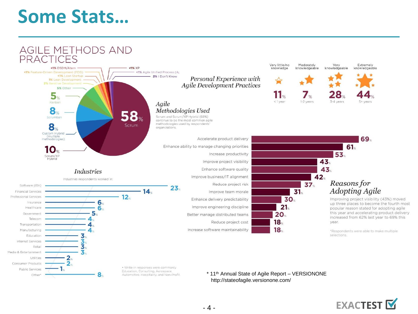### **Some Stats...**

8

Other'

Automotive, Hospitality, and Non-Profit



\* 11<sup>th</sup> Annual State of Agile Report - VERSIONONE http://stateofagile.versionone.com/

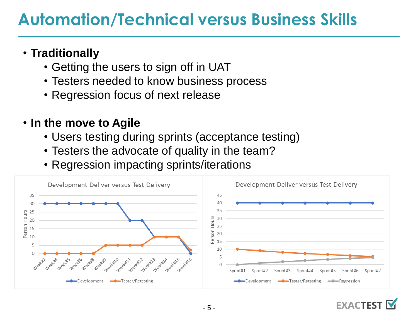### **Automation/Technical versus Business Skills**

### • **Traditionally**

- Getting the users to sign off in UAT
- Testers needed to know business process
- Regression focus of next release

#### • **In the move to Agile**

- Users testing during sprints (acceptance testing)
- Testers the advocate of quality in the team?
- Regression impacting sprints/iterations



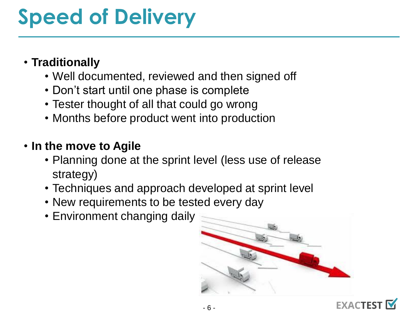## **Speed of Delivery**

#### • **Traditionally**

- Well documented, reviewed and then signed off
- Don't start until one phase is complete
- Tester thought of all that could go wrong
- Months before product went into production

#### • **In the move to Agile**

- Planning done at the sprint level (less use of release strategy)
- Techniques and approach developed at sprint level
- New requirements to be tested every day
- Environment changing daily



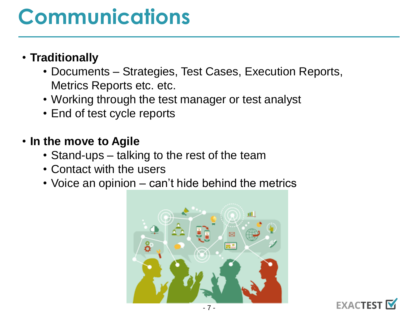## **Communications**

#### • **Traditionally**

- Documents Strategies, Test Cases, Execution Reports, Metrics Reports etc. etc.
- Working through the test manager or test analyst
- End of test cycle reports

#### • **In the move to Agile**

- Stand-ups talking to the rest of the team
- Contact with the users
- Voice an opinion can't hide behind the metrics



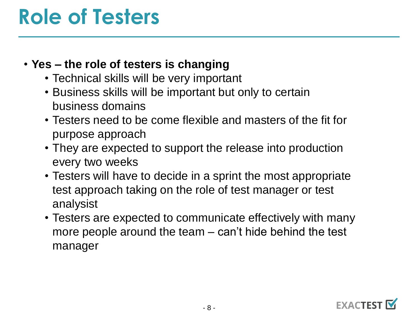## **Role of Testers**

#### • **Yes – the role of testers is changing**

- Technical skills will be very important
- Business skills will be important but only to certain business domains
- Testers need to be come flexible and masters of the fit for purpose approach
- They are expected to support the release into production every two weeks
- Testers will have to decide in a sprint the most appropriate test approach taking on the role of test manager or test analysist
- Testers are expected to communicate effectively with many more people around the team – can't hide behind the test manager

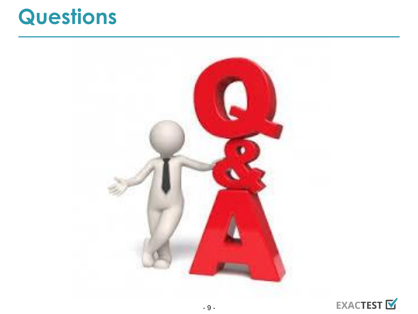### **Questions**